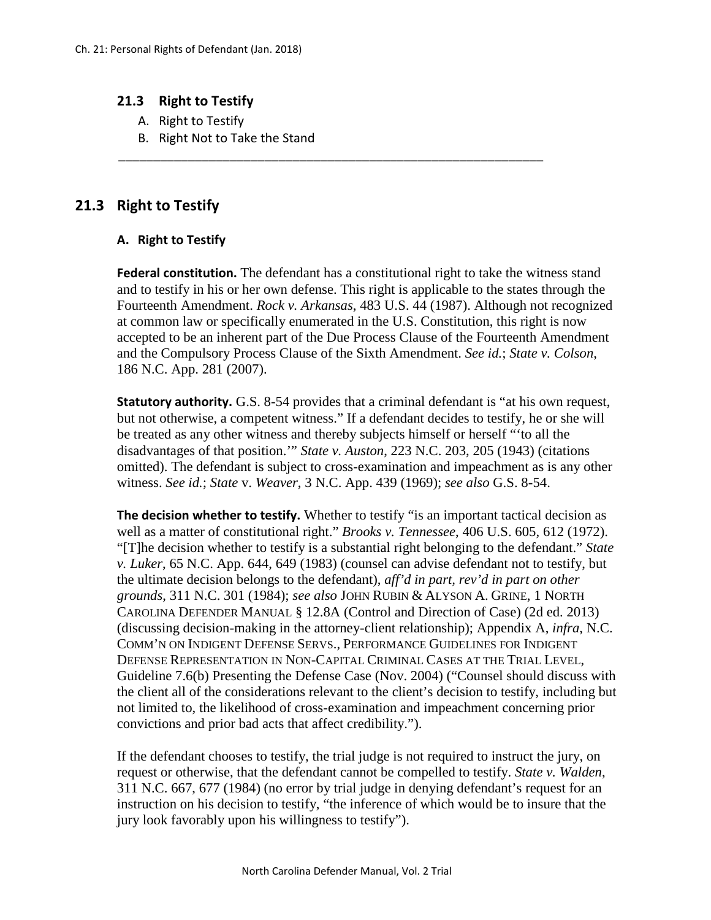## **21.3 Right to Testify**

- A. Right to Testify
- B. Right Not to Take the Stand

## **21.3 Right to Testify**

## **A. Right to Testify**

**Federal constitution.** The defendant has a constitutional right to take the witness stand and to testify in his or her own defense. This right is applicable to the states through the Fourteenth Amendment. *Rock v. Arkansas*, 483 U.S. 44 (1987). Although not recognized at common law or specifically enumerated in the U.S. Constitution, this right is now accepted to be an inherent part of the Due Process Clause of the Fourteenth Amendment and the Compulsory Process Clause of the Sixth Amendment. *See id.*; *State v. Colson*, 186 N.C. App. 281 (2007).

\_\_\_\_\_\_\_\_\_\_\_\_\_\_\_\_\_\_\_\_\_\_\_\_\_\_\_\_\_\_\_\_\_\_\_\_\_\_\_\_\_\_\_\_\_\_\_\_\_\_\_\_\_\_\_\_\_\_\_\_\_

**Statutory authority.** G.S. 8-54 provides that a criminal defendant is "at his own request, but not otherwise, a competent witness." If a defendant decides to testify, he or she will be treated as any other witness and thereby subjects himself or herself "'to all the disadvantages of that position.'" *State v. Auston*, 223 N.C. 203, 205 (1943) (citations omitted). The defendant is subject to cross-examination and impeachment as is any other witness. *See id.*; *State* v. *Weaver*, 3 N.C. App. 439 (1969); *see also* G.S. 8-54.

**The decision whether to testify.** Whether to testify "is an important tactical decision as well as a matter of constitutional right." *Brooks v. Tennessee*, 406 U.S. 605, 612 (1972). "[T]he decision whether to testify is a substantial right belonging to the defendant." *State v. Luker*, 65 N.C. App. 644, 649 (1983) (counsel can advise defendant not to testify, but the ultimate decision belongs to the defendant), *aff'd in part, rev'd in part on other grounds*, 311 N.C. 301 (1984); *see also* JOHN RUBIN & ALYSON A. GRINE, 1 NORTH CAROLINA DEFENDER MANUAL § 12.8A (Control and Direction of Case) (2d ed. 2013) (discussing decision-making in the attorney-client relationship); Appendix A, *infra*, N.C. COMM'N ON INDIGENT DEFENSE SERVS., PERFORMANCE GUIDELINES FOR INDIGENT DEFENSE REPRESENTATION IN NON-CAPITAL CRIMINAL CASES AT THE TRIAL LEVEL, Guideline 7.6(b) Presenting the Defense Case (Nov. 2004) ("Counsel should discuss with the client all of the considerations relevant to the client's decision to testify, including but not limited to, the likelihood of cross-examination and impeachment concerning prior convictions and prior bad acts that affect credibility.").

If the defendant chooses to testify, the trial judge is not required to instruct the jury, on request or otherwise, that the defendant cannot be compelled to testify. *State v. Walden*, 311 N.C. 667, 677 (1984) (no error by trial judge in denying defendant's request for an instruction on his decision to testify, "the inference of which would be to insure that the jury look favorably upon his willingness to testify").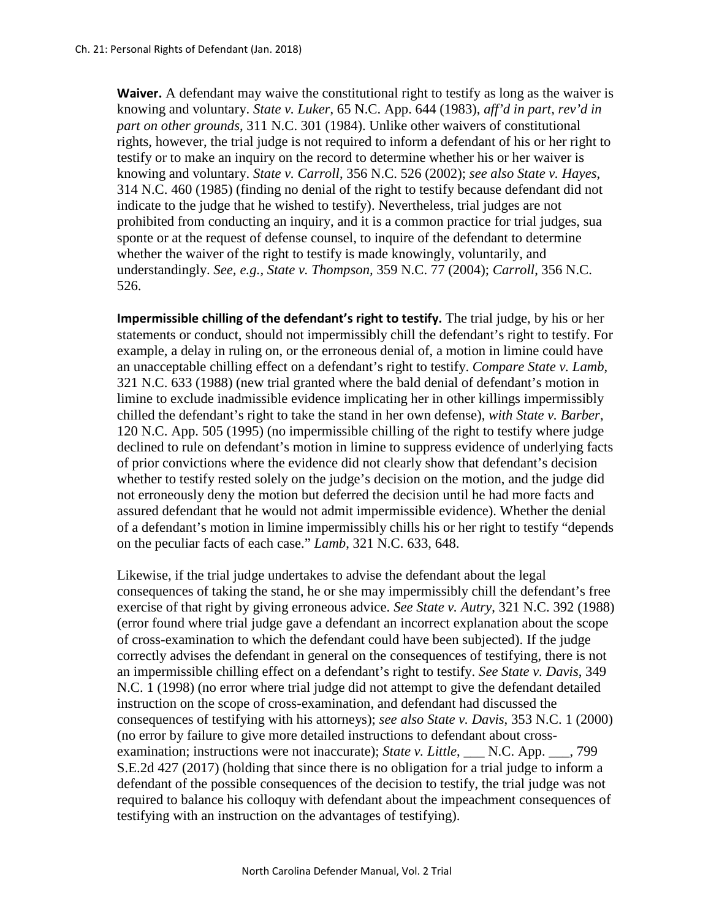**Waiver.** A defendant may waive the constitutional right to testify as long as the waiver is knowing and voluntary. *State v. Luker*, 65 N.C. App. 644 (1983), *aff'd in part, rev'd in part on other grounds*, 311 N.C. 301 (1984). Unlike other waivers of constitutional rights, however, the trial judge is not required to inform a defendant of his or her right to testify or to make an inquiry on the record to determine whether his or her waiver is knowing and voluntary. *State v. Carroll*, 356 N.C. 526 (2002); *see also State v. Hayes*, 314 N.C. 460 (1985) (finding no denial of the right to testify because defendant did not indicate to the judge that he wished to testify). Nevertheless, trial judges are not prohibited from conducting an inquiry, and it is a common practice for trial judges, sua sponte or at the request of defense counsel, to inquire of the defendant to determine whether the waiver of the right to testify is made knowingly, voluntarily, and understandingly. *See, e.g., State v. Thompson,* 359 N.C. 77 (2004); *Carroll*, 356 N.C. 526.

**Impermissible chilling of the defendant's right to testify.** The trial judge, by his or her statements or conduct, should not impermissibly chill the defendant's right to testify. For example, a delay in ruling on, or the erroneous denial of, a motion in limine could have an unacceptable chilling effect on a defendant's right to testify. *Compare State v. Lamb*, 321 N.C. 633 (1988) (new trial granted where the bald denial of defendant's motion in limine to exclude inadmissible evidence implicating her in other killings impermissibly chilled the defendant's right to take the stand in her own defense), *with State v. Barber*, 120 N.C. App. 505 (1995) (no impermissible chilling of the right to testify where judge declined to rule on defendant's motion in limine to suppress evidence of underlying facts of prior convictions where the evidence did not clearly show that defendant's decision whether to testify rested solely on the judge's decision on the motion, and the judge did not erroneously deny the motion but deferred the decision until he had more facts and assured defendant that he would not admit impermissible evidence). Whether the denial of a defendant's motion in limine impermissibly chills his or her right to testify "depends on the peculiar facts of each case." *Lamb*, 321 N.C. 633, 648.

Likewise, if the trial judge undertakes to advise the defendant about the legal consequences of taking the stand, he or she may impermissibly chill the defendant's free exercise of that right by giving erroneous advice. *See State v. Autry*, 321 N.C. 392 (1988) (error found where trial judge gave a defendant an incorrect explanation about the scope of cross-examination to which the defendant could have been subjected). If the judge correctly advises the defendant in general on the consequences of testifying, there is not an impermissible chilling effect on a defendant's right to testify. *See State v. Davis*, 349 N.C. 1 (1998) (no error where trial judge did not attempt to give the defendant detailed instruction on the scope of cross-examination, and defendant had discussed the consequences of testifying with his attorneys); *see also State v. Davis*, 353 N.C. 1 (2000) (no error by failure to give more detailed instructions to defendant about crossexamination; instructions were not inaccurate); *State v. Little*, \_\_\_ N.C. App. \_\_\_, 799 S.E.2d 427 (2017) (holding that since there is no obligation for a trial judge to inform a defendant of the possible consequences of the decision to testify, the trial judge was not required to balance his colloquy with defendant about the impeachment consequences of testifying with an instruction on the advantages of testifying).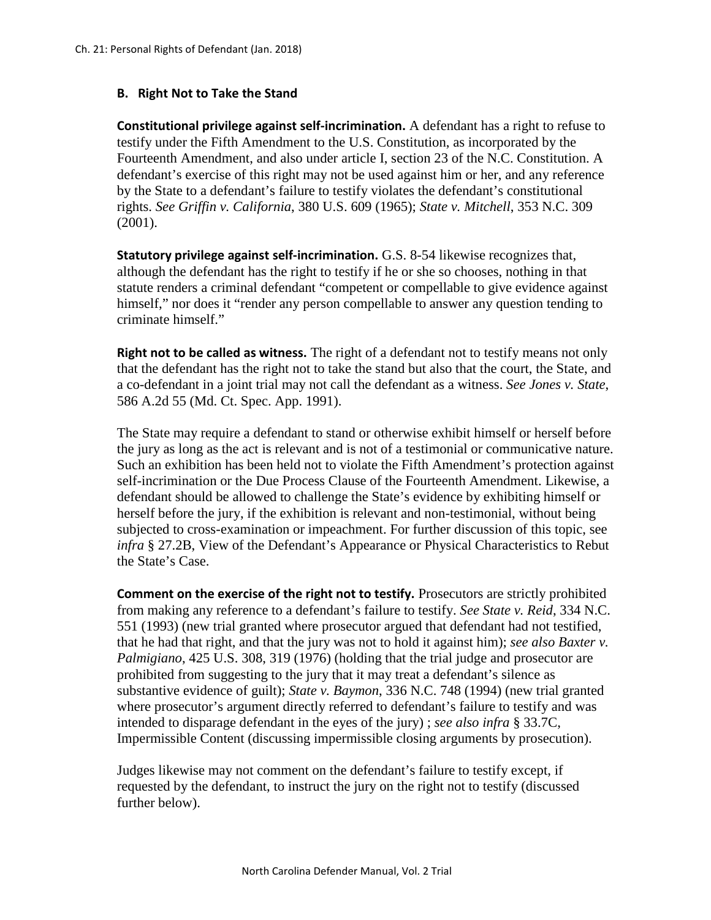## **B. Right Not to Take the Stand**

**Constitutional privilege against self-incrimination.** A defendant has a right to refuse to testify under the Fifth Amendment to the U.S. Constitution, as incorporated by the Fourteenth Amendment, and also under article I, section 23 of the N.C. Constitution. A defendant's exercise of this right may not be used against him or her, and any reference by the State to a defendant's failure to testify violates the defendant's constitutional rights. *See Griffin v. California*, 380 U.S. 609 (1965); *State v. Mitchell*, 353 N.C. 309 (2001).

**Statutory privilege against self-incrimination.** G.S. 8-54 likewise recognizes that, although the defendant has the right to testify if he or she so chooses, nothing in that statute renders a criminal defendant "competent or compellable to give evidence against himself," nor does it "render any person compellable to answer any question tending to criminate himself."

**Right not to be called as witness.** The right of a defendant not to testify means not only that the defendant has the right not to take the stand but also that the court, the State, and a co-defendant in a joint trial may not call the defendant as a witness. *See Jones v. State*, 586 A.2d 55 (Md. Ct. Spec. App. 1991).

The State may require a defendant to stand or otherwise exhibit himself or herself before the jury as long as the act is relevant and is not of a testimonial or communicative nature. Such an exhibition has been held not to violate the Fifth Amendment's protection against self-incrimination or the Due Process Clause of the Fourteenth Amendment. Likewise, a defendant should be allowed to challenge the State's evidence by exhibiting himself or herself before the jury, if the exhibition is relevant and non-testimonial, without being subjected to cross-examination or impeachment. For further discussion of this topic, see *infra* § 27.2B, View of the Defendant's Appearance or Physical Characteristics to Rebut the State's Case.

**Comment on the exercise of the right not to testify.** Prosecutors are strictly prohibited from making any reference to a defendant's failure to testify. *See State v. Reid*, 334 N.C. 551 (1993) (new trial granted where prosecutor argued that defendant had not testified, that he had that right, and that the jury was not to hold it against him); *see also Baxter v. Palmigiano*, 425 U.S. 308, 319 (1976) (holding that the trial judge and prosecutor are prohibited from suggesting to the jury that it may treat a defendant's silence as substantive evidence of guilt); *State v. Baymon*, 336 N.C. 748 (1994) (new trial granted where prosecutor's argument directly referred to defendant's failure to testify and was intended to disparage defendant in the eyes of the jury) ; *see also infra* § 33.7C, Impermissible Content (discussing impermissible closing arguments by prosecution).

Judges likewise may not comment on the defendant's failure to testify except, if requested by the defendant, to instruct the jury on the right not to testify (discussed further below).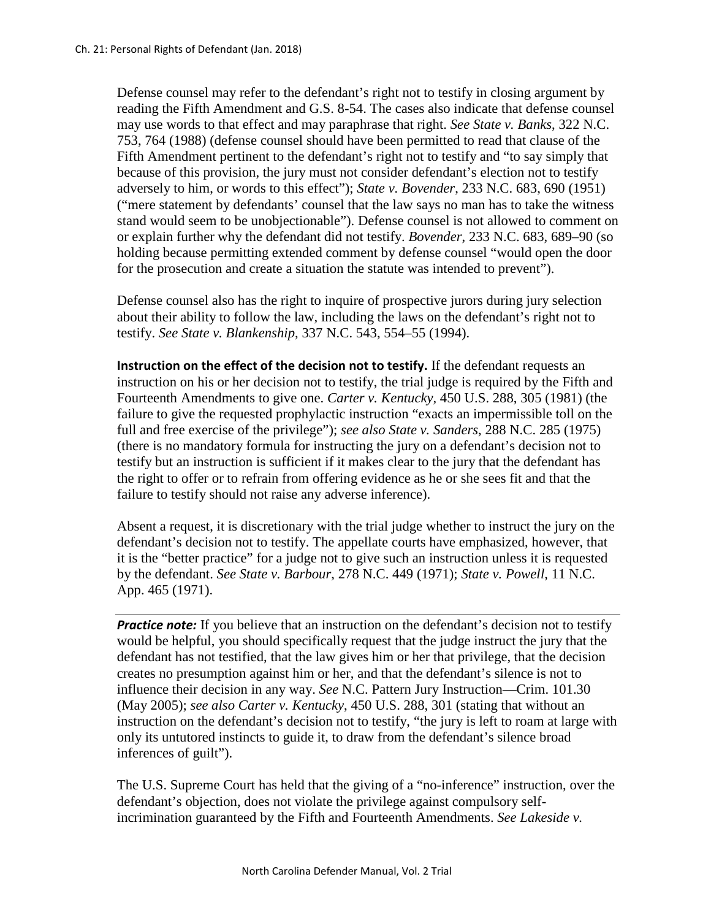Defense counsel may refer to the defendant's right not to testify in closing argument by reading the Fifth Amendment and G.S. 8-54. The cases also indicate that defense counsel may use words to that effect and may paraphrase that right. *See State v. Banks*, 322 N.C. 753, 764 (1988) (defense counsel should have been permitted to read that clause of the Fifth Amendment pertinent to the defendant's right not to testify and "to say simply that because of this provision, the jury must not consider defendant's election not to testify adversely to him, or words to this effect"); *State v. Bovender*, 233 N.C. 683, 690 (1951) ("mere statement by defendants' counsel that the law says no man has to take the witness stand would seem to be unobjectionable"). Defense counsel is not allowed to comment on or explain further why the defendant did not testify. *Bovender*, 233 N.C. 683, 689–90 (so holding because permitting extended comment by defense counsel "would open the door for the prosecution and create a situation the statute was intended to prevent").

Defense counsel also has the right to inquire of prospective jurors during jury selection about their ability to follow the law, including the laws on the defendant's right not to testify. *See State v. Blankenship*, 337 N.C. 543, 554–55 (1994).

**Instruction on the effect of the decision not to testify.** If the defendant requests an instruction on his or her decision not to testify, the trial judge is required by the Fifth and Fourteenth Amendments to give one. *Carter v. Kentucky*, 450 U.S. 288, 305 (1981) (the failure to give the requested prophylactic instruction "exacts an impermissible toll on the full and free exercise of the privilege"); *see also State v. Sanders*, 288 N.C. 285 (1975) (there is no mandatory formula for instructing the jury on a defendant's decision not to testify but an instruction is sufficient if it makes clear to the jury that the defendant has the right to offer or to refrain from offering evidence as he or she sees fit and that the failure to testify should not raise any adverse inference).

Absent a request, it is discretionary with the trial judge whether to instruct the jury on the defendant's decision not to testify. The appellate courts have emphasized, however, that it is the "better practice" for a judge not to give such an instruction unless it is requested by the defendant. *See State v. Barbour*, 278 N.C. 449 (1971); *State v. Powell*, 11 N.C. App. 465 (1971).

**Practice note:** If you believe that an instruction on the defendant's decision not to testify would be helpful, you should specifically request that the judge instruct the jury that the defendant has not testified, that the law gives him or her that privilege, that the decision creates no presumption against him or her, and that the defendant's silence is not to influence their decision in any way. *See* N.C. Pattern Jury Instruction—Crim. 101.30 (May 2005); *see also Carter v. Kentucky*, 450 U.S. 288, 301 (stating that without an instruction on the defendant's decision not to testify, "the jury is left to roam at large with only its untutored instincts to guide it, to draw from the defendant's silence broad inferences of guilt").

The U.S. Supreme Court has held that the giving of a "no-inference" instruction, over the defendant's objection, does not violate the privilege against compulsory selfincrimination guaranteed by the [Fifth](http://www.lexis.com/research/buttonTFLink?_m=7ee7a7f55562df288952adfd87e435a9&_xfercite=%3ccite%20cc%3d%22USA%22%3e%3c%21%5bCDATA%5b435%20U.S.%20333%5d%5d%3e%3c%2fcite%3e&_butType=4&_butStat=0&_butNum=98&_butInline=1&_butinfo=U.S.%20CONST.%20AMEND.%205&_fmtstr=FULL&docnum=1&_startdoc=1&wchp=dGLzVtz-zSkAB&_md5=c75af246c7fe01347dd0695c8290d5da) and Fourteenth Amendments. *See Lakeside v.*